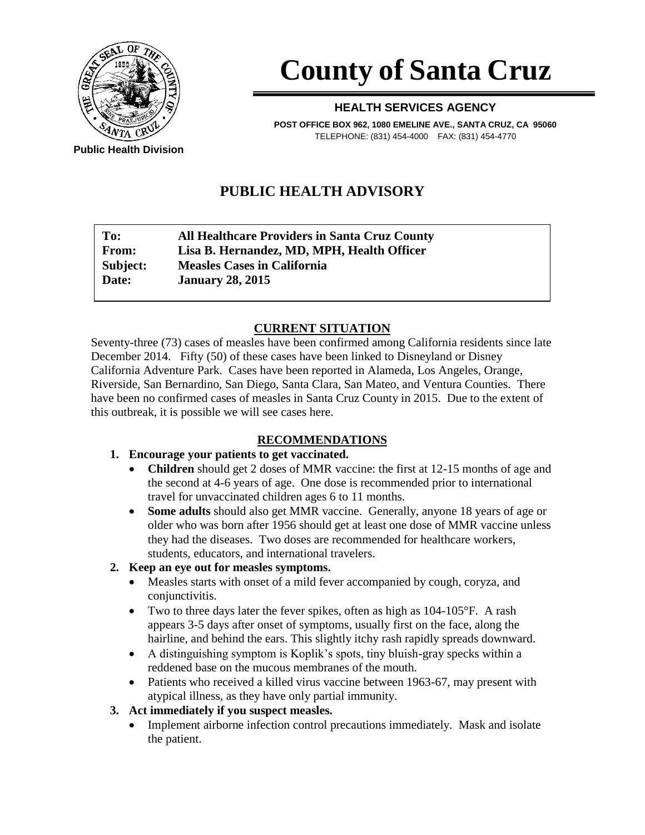

# **County of Santa Cruz**

#### **HEALTH SERVICES AGENCY**

**POST OFFICE BOX 962, 1080 EMELINE AVE., SANTA CRUZ, CA 95060** TELEPHONE: (831) 454-4000 FAX: (831) 454-4770

**Public Health Division**

# **PUBLIC HEALTH ADVISORY**

| To:          | <b>All Healthcare Providers in Santa Cruz County</b> |
|--------------|------------------------------------------------------|
| <b>From:</b> | Lisa B. Hernandez, MD, MPH, Health Officer           |
| Subject:     | <b>Measles Cases in California</b>                   |
| Date:        | <b>January 28, 2015</b>                              |

## **CURRENT SITUATION**

Seventy-three (73) cases of measles have been confirmed among California residents since late December 2014. Fifty (50) of these cases have been linked to Disneyland or Disney California Adventure Park. Cases have been reported in Alameda, Los Angeles, Orange, Riverside, San Bernardino, San Diego, Santa Clara, San Mateo, and Ventura Counties. There have been no confirmed cases of measles in Santa Cruz County in 2015. Due to the extent of this outbreak, it is possible we will see cases here.

### **RECOMMENDATIONS**

- **1. Encourage your patients to get vaccinated.**
	- **Children** should get 2 doses of MMR vaccine: the first at 12-15 months of age and the second at 4-6 years of age. One dose is recommended prior to international travel for unvaccinated children ages 6 to 11 months.
	- **Some adults** should also get MMR vaccine. Generally, anyone 18 years of age or older who was born after 1956 should get at least one dose of MMR vaccine unless they had the diseases. Two doses are recommended for healthcare workers, students, educators, and international travelers.

### **2. Keep an eye out for measles symptoms.**

- Measles starts with onset of a mild fever accompanied by cough, coryza, and conjunctivitis.
- Two to three days later the fever spikes, often as high as 104-105°F. A rash appears 3-5 days after onset of symptoms, usually first on the face, along the hairline, and behind the ears. This slightly itchy rash rapidly spreads downward.
- A distinguishing symptom is Koplik's spots, tiny bluish-gray specks within a reddened base on the mucous membranes of the mouth.
- Patients who received a killed virus vaccine between 1963-67, may present with atypical illness, as they have only partial immunity.

### **3. Act immediately if you suspect measles.**

 Implement airborne infection control precautions immediately. Mask and isolate the patient.